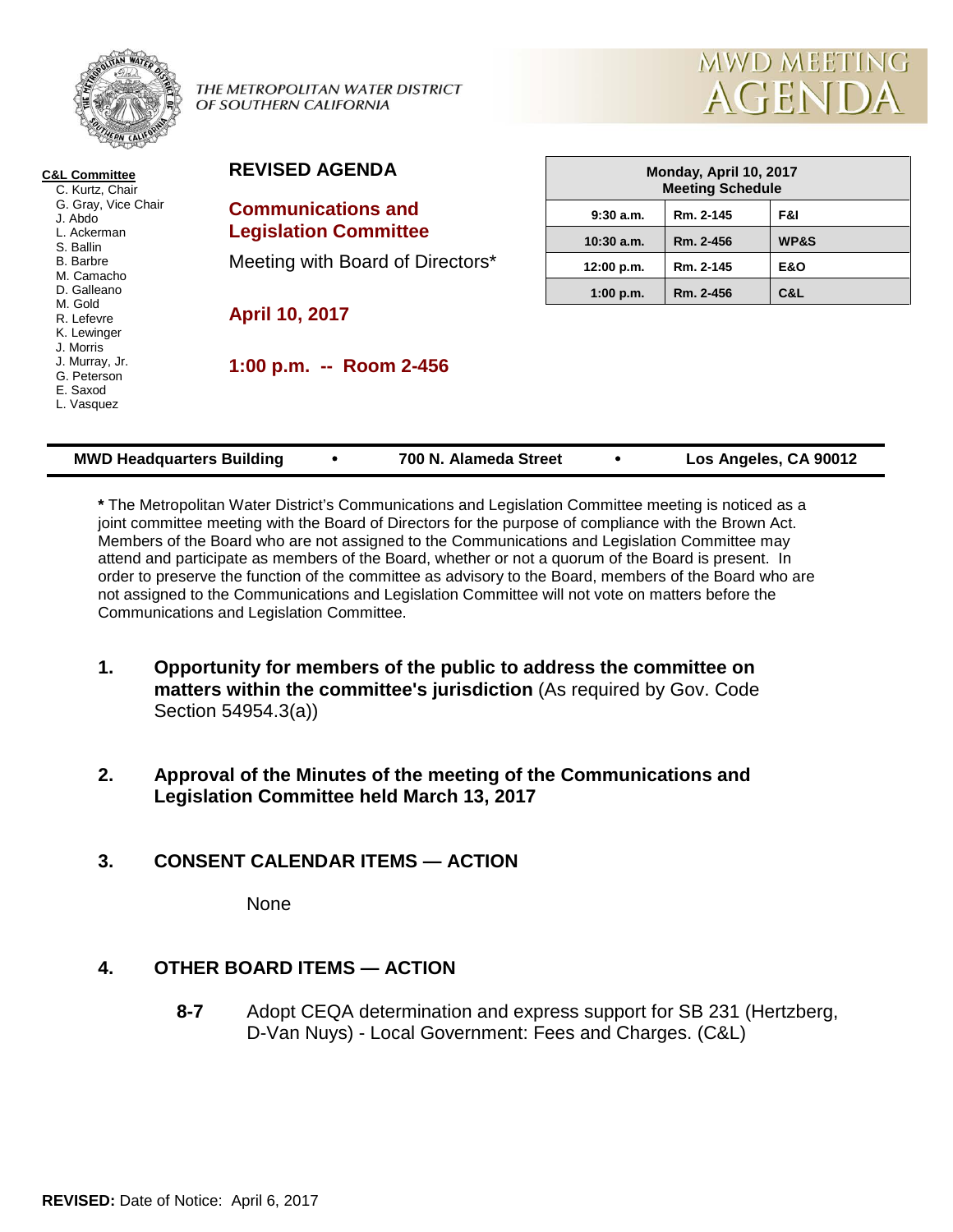

THE METROPOLITAN WATER DISTRICT OF SOUTHERN CALIFORNIA



| <b>C&amp;L Committee</b><br>C. Kurtz, Chair             | <b>REVISED AGENDA</b>            | Monday, April 10, 2017<br><b>Meeting Schedule</b> |           |                       |
|---------------------------------------------------------|----------------------------------|---------------------------------------------------|-----------|-----------------------|
| G. Gray, Vice Chair<br>J. Abdo                          | <b>Communications and</b>        | $9:30$ a.m.                                       | Rm. 2-145 | F&I                   |
| L. Ackerman<br>S. Ballin                                | <b>Legislation Committee</b>     | $10:30$ a.m.                                      | Rm. 2-456 | WP&S                  |
| <b>B.</b> Barbre<br>M. Camacho                          | Meeting with Board of Directors* | 12:00 p.m.                                        | Rm. 2-145 | <b>E&amp;O</b>        |
| D. Galleano                                             |                                  | 1:00 p.m.                                         | Rm. 2-456 | C&L                   |
| M. Gold<br>R. Lefevre<br>K. Lewinger<br>J. Morris       | <b>April 10, 2017</b>            |                                                   |           |                       |
| J. Murray, Jr.<br>G. Peterson<br>E. Saxod<br>L. Vasquez | 1:00 p.m. -- Room 2-456          |                                                   |           |                       |
| <b>MWD Headquarters Building</b>                        | 700 N. Alameda Street            |                                                   |           | Los Angeles, CA 90012 |

**\*** The Metropolitan Water District's Communications and Legislation Committee meeting is noticed as a joint committee meeting with the Board of Directors for the purpose of compliance with the Brown Act. Members of the Board who are not assigned to the Communications and Legislation Committee may attend and participate as members of the Board, whether or not a quorum of the Board is present. In order to preserve the function of the committee as advisory to the Board, members of the Board who are not assigned to the Communications and Legislation Committee will not vote on matters before the Communications and Legislation Committee.

- **1. Opportunity for members of the public to address the committee on matters within the committee's jurisdiction** (As required by Gov. Code Section 54954.3(a))
- **2. Approval of the Minutes of the meeting of the Communications and Legislation Committee held March 13, 2017**

## **3. CONSENT CALENDAR ITEMS — ACTION**

None

# **4. OTHER BOARD ITEMS — ACTION**

**8-7** Adopt CEQA determination and express support for SB 231 (Hertzberg, D-Van Nuys) - Local Government: Fees and Charges. (C&L)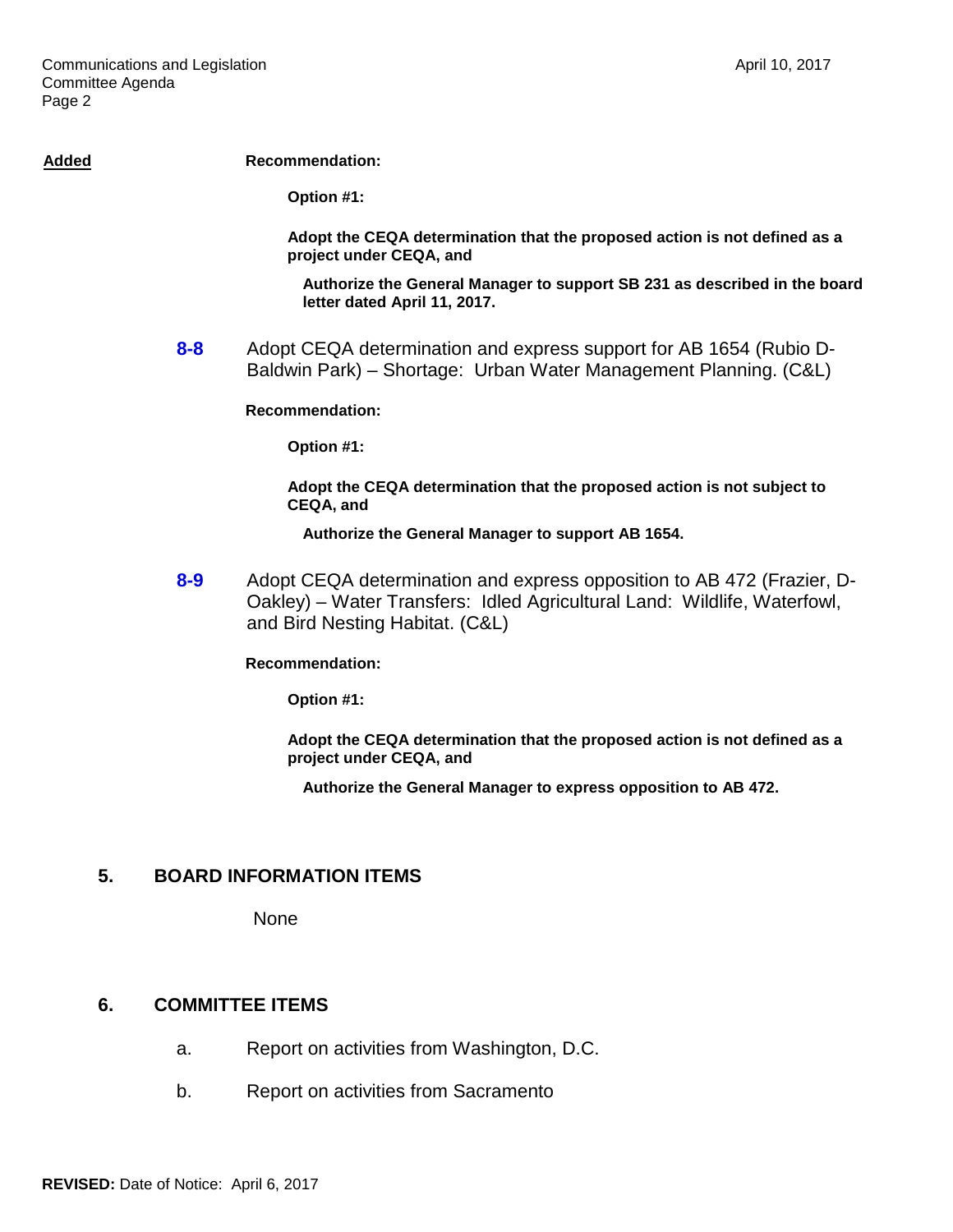#### Added **Recommendation:**

**Option #1:**

**Adopt the CEQA determination that the proposed action is not defined as a project under CEQA, and**

**Authorize the General Manager to support SB 231 as described in the board letter dated April 11, 2017.**

**8-8** Adopt CEQA determination and express support for AB 1654 (Rubio D-Baldwin Park) – Shortage: Urban Water Management Planning. (C&L)

**Recommendation:**

**Option #1:**

**Adopt the CEQA determination that the proposed action is not subject to CEQA, and**

**Authorize the General Manager to support AB 1654.**

**8-9** Adopt CEQA determination and express opposition to AB 472 (Frazier, D-Oakley) – Water Transfers: Idled Agricultural Land: Wildlife, Waterfowl, and Bird Nesting Habitat. (C&L)

**Recommendation:**

**Option #1:**

**Adopt the CEQA determination that the proposed action is not defined as a project under CEQA, and**

**Authorize the General Manager to express opposition to AB 472.**

#### **5. BOARD INFORMATION ITEMS**

None

#### **6. COMMITTEE ITEMS**

- a. Report on activities from Washington, D.C.
- b. Report on activities from Sacramento